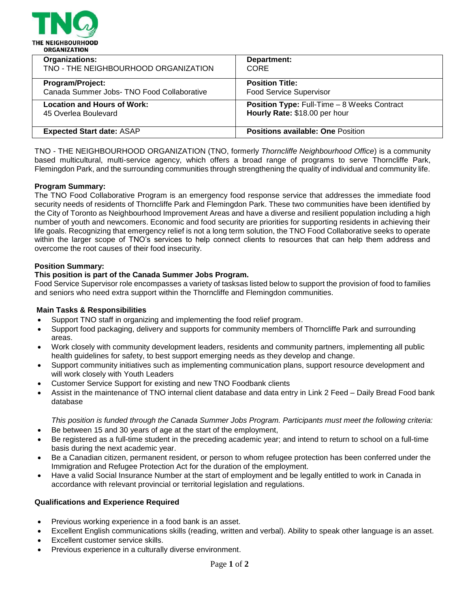

| <b>Organizations:</b>                      | Department:                                        |
|--------------------------------------------|----------------------------------------------------|
| TNO - THE NEIGHBOURHOOD ORGANIZATION       | <b>CORE</b>                                        |
| Program/Project:                           | <b>Position Title:</b>                             |
| Canada Summer Jobs- TNO Food Collaborative | <b>Food Service Supervisor</b>                     |
| <b>Location and Hours of Work:</b>         | <b>Position Type: Full-Time - 8 Weeks Contract</b> |
| 45 Overlea Boulevard                       | Hourly Rate: \$18.00 per hour                      |
| <b>Expected Start date: ASAP</b>           | <b>Positions available: One Position</b>           |

TNO - THE NEIGHBOURHOOD ORGANIZATION (TNO, formerly *Thorncliffe Neighbourhood Office*) is a community based multicultural, multi-service agency, which offers a broad range of programs to serve Thorncliffe Park, Flemingdon Park, and the surrounding communities through strengthening the quality of individual and community life.

## **Program Summary:**

The TNO Food Collaborative Program is an emergency food response service that addresses the immediate food security needs of residents of Thorncliffe Park and Flemingdon Park. These two communities have been identified by the City of Toronto as Neighbourhood Improvement Areas and have a diverse and resilient population including a high number of youth and newcomers. Economic and food security are priorities for supporting residents in achieving their life goals. Recognizing that emergency relief is not a long term solution, the TNO Food Collaborative seeks to operate within the larger scope of TNO's services to help connect clients to resources that can help them address and overcome the root causes of their food insecurity.

## **Position Summary:**

## **This position is part of the Canada Summer Jobs Program.**

Food Service Supervisor role encompasses a variety of tasksas listed below to support the provision of food to families and seniors who need extra support within the Thorncliffe and Flemingdon communities.

#### **Main Tasks & Responsibilities**

- Support TNO staff in organizing and implementing the food relief program.
- Support food packaging, delivery and supports for community members of Thorncliffe Park and surrounding areas.
- Work closely with community development leaders, residents and community partners, implementing all public health guidelines for safety, to best support emerging needs as they develop and change.
- Support community initiatives such as implementing communication plans, support resource development and will work closely with Youth Leaders
- Customer Service Support for existing and new TNO Foodbank clients
- Assist in the maintenance of TNO internal client database and data entry in Link 2 Feed Daily Bread Food bank database

*This position is funded through the Canada Summer Jobs Program. Participants must meet the following criteria:*

- Be between 15 and 30 years of age at the start of the employment,
- Be registered as a full-time student in the preceding academic year; and intend to return to school on a full-time basis during the next academic year.
- Be a Canadian citizen, permanent resident, or person to whom refugee protection has been conferred under the Immigration and Refugee Protection Act for the duration of the employment.
- Have a valid Social Insurance Number at the start of employment and be legally entitled to work in Canada in accordance with relevant provincial or territorial legislation and regulations.

#### **Qualifications and Experience Required**

- Previous working experience in a food bank is an asset.
- Excellent English communications skills (reading, written and verbal). Ability to speak other language is an asset.
- Excellent customer service skills.
- Previous experience in a culturally diverse environment.